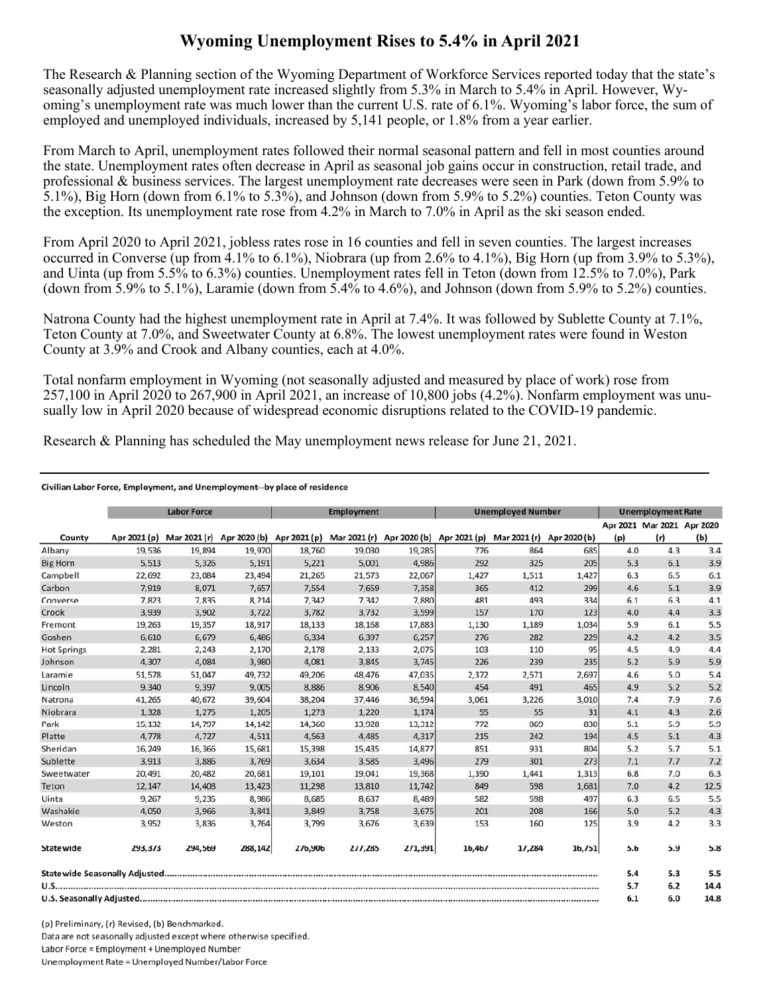## **Wyoming Unemployment Rises to 5.4% in April 2021**

The Research & Planning section of the Wyoming Department of Workforce Services reported today that the state's seasonally adjusted unemployment rate increased slightly from 5.3% in March to 5.4% in April. However, Wyoming's unemployment rate was much lower than the current U.S. rate of 6.1%. Wyoming's labor force, the sum of employed and unemployed individuals, increased by 5,141 people, or 1.8% from a year earlier.

From March to April, unemployment rates followed their normal seasonal pattern and fell in most counties around the state. Unemployment rates often decrease in April as seasonal job gains occur in construction, retail trade, and professional & business services. The largest unemployment rate decreases were seen in Park (down from 5.9% to 5.1%), Big Horn (down from 6.1% to 5.3%), and Johnson (down from 5.9% to 5.2%) counties. Teton County was the exception. Its unemployment rate rose from 4.2% in March to 7.0% in April as the ski season ended.

From April 2020 to April 2021, jobless rates rose in 16 counties and fell in seven counties. The largest increases occurred in Converse (up from 4.1% to 6.1%), Niobrara (up from 2.6% to 4.1%), Big Horn (up from 3.9% to 5.3%), and Uinta (up from 5.5% to 6.3%) counties. Unemployment rates fell in Teton (down from 12.5% to 7.0%), Park (down from 5.9% to 5.1%), Laramie (down from 5.4% to 4.6%), and Johnson (down from 5.9% to 5.2%) counties.

Natrona County had the highest unemployment rate in April at 7.4%. It was followed by Sublette County at 7.1%, Teton County at 7.0%, and Sweetwater County at 6.8%. The lowest unemployment rates were found in Weston County at 3.9% and Crook and Albany counties, each at 4.0%.

Total nonfarm employment in Wyoming (not seasonally adjusted and measured by place of work) rose from 257,100 in April 2020 to 267,900 in April 2021, an increase of 10,800 jobs (4.2%). Nonfarm employment was unusually low in April 2020 because of widespread economic disruptions related to the COVID-19 pandemic.

Research & Planning has scheduled the May unemployment news release for June 21, 2021.

## Civilian Labor Force, Employment, and Unemployment--by place of residence

|                    | <b>Labor Force</b> |         |         | <b>Employment</b>                                                |         |         | <b>Unemployed Number</b> |              |              | <b>Unemployment Rate</b> |                                   |      |
|--------------------|--------------------|---------|---------|------------------------------------------------------------------|---------|---------|--------------------------|--------------|--------------|--------------------------|-----------------------------------|------|
| County             | Apr 2021 (p)       |         |         | Mar 2021 (r) Apr 2020 (b) Apr 2021 (p) Mar 2021 (r) Apr 2020 (b) |         |         | Apr 2021 (p)             | Mar 2021 (r) | Apr 2020 (b) | (p)                      | Apr 2021 Mar 2021 Apr 2020<br>(r) | (b)  |
| Albany             | 19,536             | 19,894  | 19,970  | 18,760                                                           | 19,030  | 19,285  | 776                      | 864          | 685          | 4.0                      | 4.3                               | 3.4  |
| <b>Big Horn</b>    | 5,513              | 5,326   | 5,191   | 5,221                                                            | 5,001   | 4,986   | 292                      | 325          | 205          | 5.3                      | 6.1                               | 3.9  |
| Campbell           | 22,692             | 23,084  | 23,494  | 21,265                                                           | 21,573  | 22,067  | 1,427                    | 1,511        | 1,427        | 6.3                      | 6.5                               | 6.1  |
| Carbon             | 7,919              | 8,071   | 7,657   | 7,554                                                            | 7,659   | 7,358   | 365                      | 412          | 299          | 4.6                      | 5.1                               | 3.9  |
| Converse           | 7.823              | 7.835   | 8,214   | 7.342                                                            | 7,342   | 7,880   | 481                      | 493          | 334          | 6.1                      | 6.3                               | 4.1  |
| Crook              | 3,939              | 3,902   | 3,722   | 3,782                                                            | 3,732   | 3,599   | 157                      | 170          | 123          | 4.0                      | 4.4                               | 3.3  |
| Fremont            | 19,263             | 19,357  | 18,917  | 18,133                                                           | 18,168  | 17,883  | 1,130                    | 1,189        | 1,034        | 5.9                      | 6.1                               | 5.5  |
| Goshen             | 6,610              | 6,679   | 6,486   | 6,334                                                            | 6,397   | 6,257   | 276                      | 282          | 229          | 4.2                      | 4.2                               | 3.5  |
| <b>Hot Springs</b> | 2,281              | 2,243   | 2,170   | 2,178                                                            | 2,133   | 2,075   | 103                      | 110          | 95           | 4.5                      | 4.9                               | 4.4  |
| Johnson            | 4,307              | 4,084   | 3,980   | 4,081                                                            | 3,845   | 3,745   | 226                      | 239          | 235          | 5.2                      | 5.9                               | 5.9  |
| Laramie            | 51,578             | 51,047  | 49,732  | 49,206                                                           | 48,476  | 47,035  | 2,372                    | 2,571        | 2,697        | 4.6                      | 5.0                               | 5.4  |
| Lincoln            | 9,340              | 9,397   | 9,005   | 8,886                                                            | 8,906   | 8,540   | 454                      | 491          | 465          | 4.9                      | 5.2                               | 5.2  |
| Natrona            | 41,265             | 40,672  | 39,604  | 38,204                                                           | 37,446  | 36,594  | 3,061                    | 3,226        | 3,010        | 7.4                      | 7.9                               | 7.6  |
| Niobrara           | 1,328              | 1,275   | 1,205   | 1,273                                                            | 1,220   | 1,174   | 55                       | 55           | 31           | 4.1                      | 4.3                               | 2.6  |
| Park               | 15,132             | 14,797  | 14,142  | 14,360                                                           | 13,928  | 13,312  | 772                      | 869          | 830          | 5.1                      | 5.9                               | 5.9  |
| Platte             | 4,778              | 4,727   | 4,511   | 4,563                                                            | 4,485   | 4,317   | 215                      | 242          | 194          | 4.5                      | 5.1                               | 4.3  |
| Sheridan           | 16,249             | 16,366  | 15,681  | 15,398                                                           | 15,435  | 14,877  | 851                      | 931          | 804          | 5.2                      | 5.7                               | 5.1  |
| Sublette           | 3,913              | 3,886   | 3,769   | 3,634                                                            | 3,585   | 3,496   | 279                      | 301          | 273          | 7.1                      | 7.7                               | 7.2  |
| Sweetwater         | 20,491             | 20,482  | 20,681  | 19,101                                                           | 19,041  | 19,368  | 1,390                    | 1,441        | 1,313        | 6.8                      | 7.0                               | 6.3  |
| Teton              | 12,147             | 14,408  | 13,423  | 11,298                                                           | 13,810  | 11,742  | 849                      | 598          | 1,681        | 7.0                      | 4.2                               | 12.5 |
| Uinta              | 9,267              | 9,235   | 8,986   | 8,685                                                            | 8,637   | 8,489   | 582                      | 598          | 497          | 6.3                      | 6.5                               | 5.5  |
| Washakie           | 4,050              | 3,966   | 3,841   | 3,849                                                            | 3,758   | 3,675   | 201                      | 208          | 166          | 5.0                      | 5.2                               | 4.3  |
| Weston             | 3,952              | 3,836   | 3,764   | 3,799                                                            | 3,676   | 3,639   | 153                      | 160          | 125          | 3.9                      | 4.2                               | 3.3  |
| <b>Statewide</b>   | 293,373            | 294,569 | 288,142 | 276,906                                                          | 277,285 | 271,391 | 16,467                   | 17,284       | 16,751       | 5.6                      | 5.9                               | 5.8  |
|                    |                    |         |         |                                                                  |         |         |                          |              |              | 5.4                      | 5.3                               | 5.5  |
|                    |                    |         |         |                                                                  |         |         |                          |              |              | 5.7                      | 6.2                               | 14.4 |
|                    |                    |         |         |                                                                  |         |         |                          | 6.1          | 6.0          | 14.8                     |                                   |      |

(p) Preliminary, (r) Revised, (b) Benchmarked. Data are not seasonally adjusted except where otherwise specified. Labor Force = Employment + Unemployed Number Unemployment Rate = Unemployed Number/Labor Force